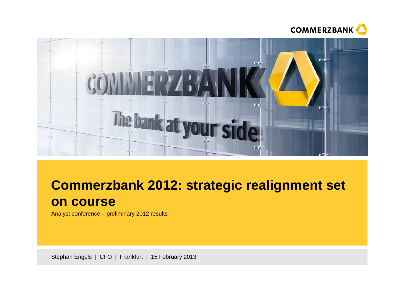



# **Commerzbank 2012: strategic realignment set on course**

Analyst conference – preliminary 2012 results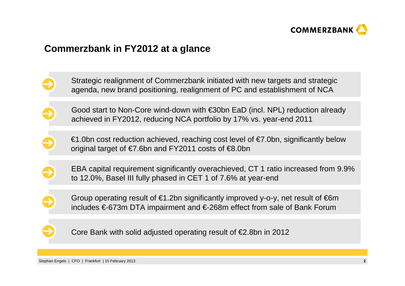

### **Commerzbank in FY2012 at a glance**

- Strategic realignment of Commerzbank initiated with new targets and strategicagenda, new brand positioning, realignment of PC and establishment of NCA
- Good start to Non-Core wind-down with €30bn EaD (incl. NPL) reduction already achieved in FY2012, reducing NCA portfolio by 17% vs. year-end 2011
	- €1.0bn cost reduction achieved, reaching cost level of €7.0bn, significantly below original target of  $\epsilon$ 7.6bn and FY2011 costs of  $\epsilon$ 8.0bn
- EBA capital requirement significantly overachieved, CT 1 ratio increased from 9.9% to 12.0%, Basel III fully phased in CET 1 of 7.6% at year-end
- Group operating result of  $\epsilon$ 1.2bn significantly improved y-o-y, net result of  $\epsilon$ 6m includes €-673m DTA impairment and €-268m effect from sale of Bank Forum
	- Core Bank with solid adjusted operating result of €2.8bn in 2012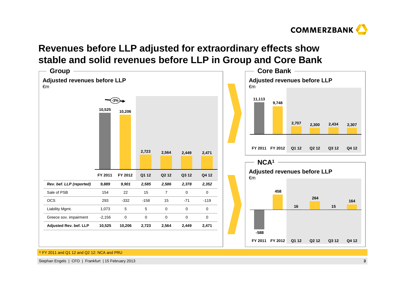

## **Revenues before LLP adjusted for extraordinary effects showstable and solid revenues before LLP in Group and Core Bank**



1) FY 2011 and Q1 12 and Q2 12: NCA and PRU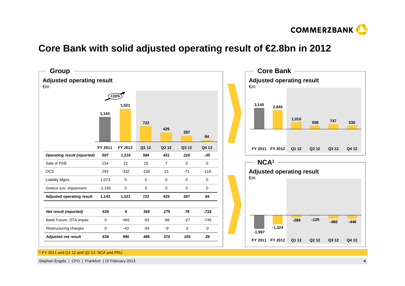

## **Core Bank with solid adjusted operating result of €2.8bn in 2012**



1) FY 2011 and Q1 12 and Q2 12: NCA and PRU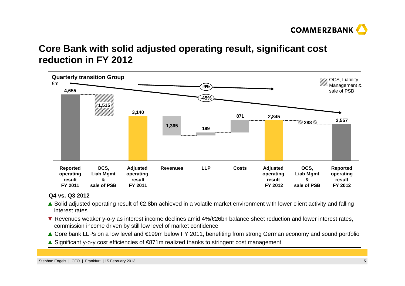

## **Core Bank with solid adjusted operating result, significant costreduction in FY 2012**



#### **Q4 vs. Q3 2012**

- **▲** Solid adjusted operating result of €2.8bn achieved in a volatile market environment with lower client activity and falling interest rates
- ▼ Revenues weaker y-o-y as interest income declines amid 4%/€26bn balance sheet reduction and lower interest rates,<br>commission income driven by still low level of market confidence commission income driven by still low level of market confidence
- **▲** Core bank LLPs on a low level and €199m below FY 2011, benefiting from strong German economy and sound portfolio
- **▲** Significant y-o-y cost efficiencies of €871m realized thanks to stringent cost management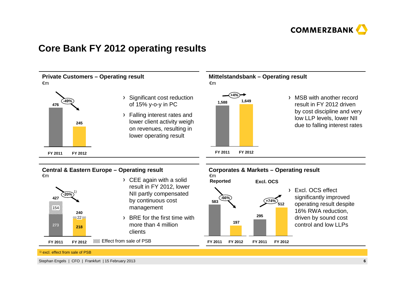

### **Core Bank FY 2012 operating results**

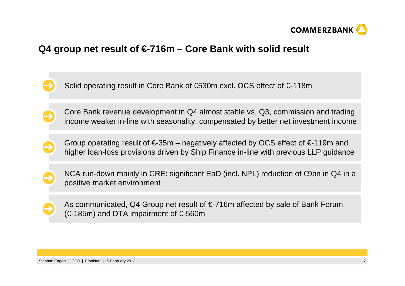

## **Q4 group net result of €-716m – Core Bank with solid result**

Solid operating result in Core Bank of €530m excl. OCS effect of €-118m

Core Bank revenue development in Q4 almost stable vs. Q3, commission and trading income weaker in-line with seasonality, compensated by better net investment income

Group operating result of  $\epsilon$ -35m – negatively affected by OCS effect of  $\epsilon$ -119m and higher loan-loss provisions driven by Ship Finance in-line with previous LLP guidance

NCA run-down mainly in CRE: significant EaD (incl. NPL) reduction of €9bn in Q4 in a positive market environment

As communicated, Q4 Group net result of €-716m affected by sale of Bank Forum(€-185m) and DTA impairment of  $€$ -560m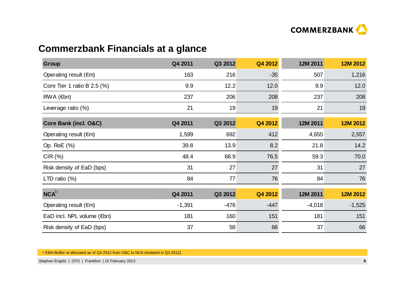

## **Commerzbank Financials at a glance**

| <b>Group</b>                         | Q4 2011  | Q3 2012 | Q4 2012 | 12M 2011 | 12M 2012 |
|--------------------------------------|----------|---------|---------|----------|----------|
| Operating result $(\epsilon m)$      | 163      | 216     | $-35$   | 507      | 1,216    |
| Core Tier 1 ratio B $2.5$ (%)        | 9.9      | 12.2    | 12.0    | 9.9      | 12.0     |
| $RWA$ ( $\notin$ bn)                 | 237      | 206     | 208     | 237      | 208      |
| Leverage ratio (%)                   | 21       | 19      | 19      | 21       | 19       |
| Core Bank (incl. O&C)                | Q4 2011  | Q3 2012 | Q4 2012 | 12M 2011 | 12M 2012 |
| Operating result $(\epsilon m)$      | 1,599    | 692     | 412     | 4,655    | 2,557    |
| Op. RoE (%)                          | 39.8     | 13.9    | 8.2     | 21.8     | 14.2     |
| CIR(%)                               | 48.4     | 68.9    | 76.5    | 59.3     | 70.0     |
| Risk density of EaD (bps)            | 31       | 27      | 27      | 31       | 27       |
| LTD ratio $(\%)$                     | 84       | 77      | 76      | 84       | 76       |
| NCA <sup>1</sup>                     | Q4 2011  | Q3 2012 | Q4 2012 | 12M 2011 | 12M 2012 |
| Operating result $(\epsilon m)$      | $-1,391$ | $-476$  | $-447$  | $-4,018$ | $-1,525$ |
| EaD incl. NPL volume $(\epsilon$ bn) | 181      | 160     | 151     | 181      | 151      |
| Risk density of EaD (bps)            | 37       | 58      | 66      | 37       | 66       |

1) EBA-Buffer re-allocated as of Q4 2012 from O&C to NCA (restated in Q3 2012)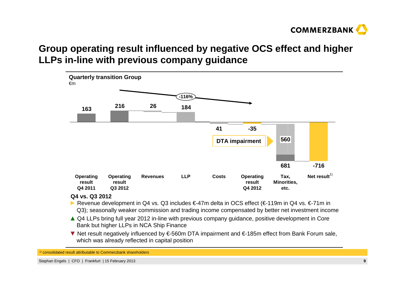

## **Group operating result influenced by negative OCS effect and higher LLPs in-line with previous company guidance**



#### **Q4 vs. Q3 2012**

- **►** Revenue development in Q4 vs. Q3 includes €-47m delta in OCS effect (€-119m in Q4 vs. €-71m in Q3); seasonally weaker commission and trading income compensated by better net investment income
- ▲ Q4 LLPs bring full year 2012 in-line with previous company guidance, positive development in Core<br>Rank but bigher LLPs in NCA Shin Finance Bank but higher LLPs in NCA Ship Finance
- ▼ Net result negatively influenced by €-560m DTA impairment and €-185m effect from Bank Forum sale, which was already reflected in capital position

<sup>1)</sup> consolidated result attributable to Commerzbank shareholders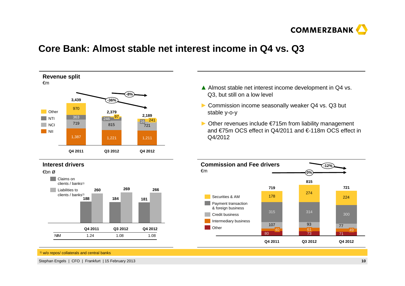

### **Core Bank: Almost stable net interest income in Q4 vs. Q3**



- **▲** Almost stable net interest income development in Q4 vs.<br>O3 but still on a low level Q3, but still on a low level
- **►** Commission income seasonally weaker Q4 vs. Q3 but stable y-o-y
- **►** Other revenues include €715m from liability management and €75m OCS effect in Q4/2011 and €-118m OCS effect in Q4/2012



<sup>1)</sup> w/o repos/ collaterals and central banks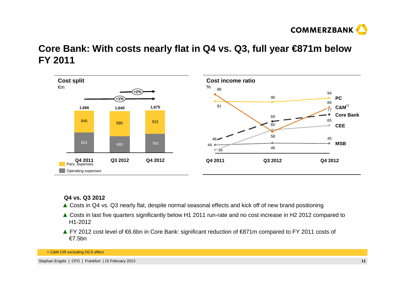

## **Core Bank: With costs nearly flat in Q4 vs. Q3, full year €871m below FY 2011**



#### **Q4 vs. Q3 2012**

- **▲** Costs in Q4 vs. Q3 nearly flat, despite normal seasonal effects and kick off of new brand positioning
- **▲** Costs in last five quarters significantly below H1 2011 run-rate and no cost increase in H2 2012 compared to H1-2012
- **▲** FY 2012 cost level of €6.6bn in Core Bank: significant reduction of €871m compared to FY 2011 costs of €7.5bn

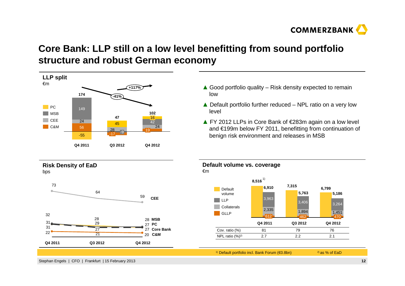

## **Core Bank: LLP still on a low level benefitting from sound portfolio structure and robust German economy**



- **▲** Good portfolio quality Risk density expected to remain low
- **▲** Default portfolio further reduced NPL ratio on a very low level
- **▲** FY 2012 LLPs in Core Bank of €283m again on a low level and €199m below FY 2011, benefitting from continuation of benign risk environment and releases in MSB



1) Default portfolio incl. Bank Forum (€0.8bn)

2) as % of EaD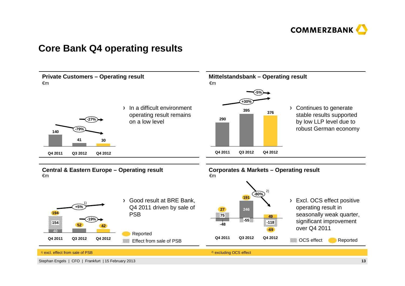

### **Core Bank Q4 operating results**

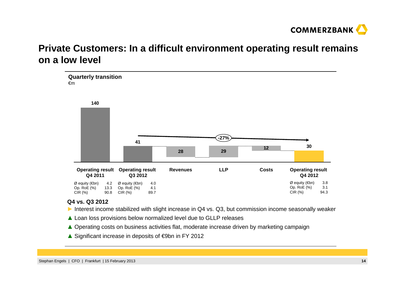

## **Private Customers: In a difficult environment operating result remains on a low level**



#### **Q4 vs. Q3 2012**

- ► Interest income stabilized with slight increase in Q4 vs. Q3, but commission income seasonally weaker
- ▲ Loan loss provisions below normalized level due to GLLP releases
- ▲ Operating costs on business activities flat, moderate increase driven by marketing campaign<br>
∴ City Cotton Discosse in City Cotto
- ▲ Significant increase in deposits of €9bn in FY 2012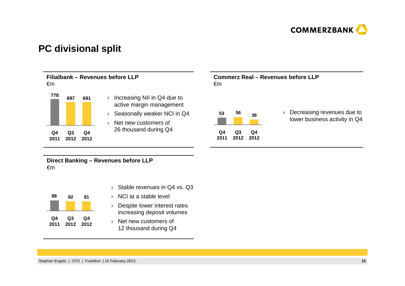

### **PC divisional split**



**Direct Banking – Revenues before LLP**  €m



- › Stable revenues in Q4 vs. Q3
- › NCI at a stable level
- › Despite lower interest rates increasing deposit volumes
- › Net new customers of 12 thousand during Q4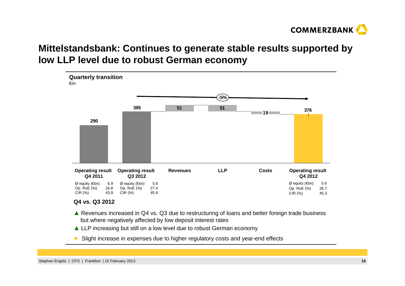

## **Mittelstandsbank: Continues to generate stable results supported by low LLP level due to robust German economy**



#### **Q4 vs. Q3 2012**

- ▲ Revenues increased in Q4 vs. Q3 due to restructuring of loans and better foreign trade business<br>hut where negatively affected by low deposit interest rates but where negatively affected by low deposit interest rates
- ▲ LLP increasing but still on a low level due to robust German economy
- **►** Slight increase in expenses due to higher regulatory costs and year-end effects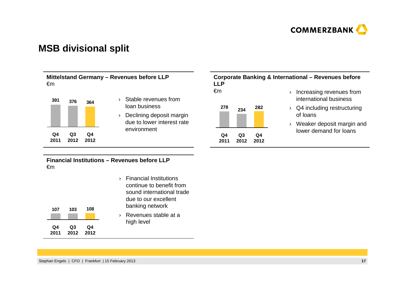

### **MSB divisional split**

#### **Mittelstand Germany – Revenues before LLP**  €m



- › Stable revenues from loan business
- › Declining deposit margin due to lower interest rate environment

#### **Corporate Banking & International – Revenues before LLP** €m**234 <sup>278</sup> 282**› Increasing revenues from international business

- **Q4 2012Q3 2012Q4 2011**
- 
- $\rightarrow$   $\,$  Q4 including restructuring of loans
- › Weaker deposit margin and lower demand for loans

**Financial Institutions – Revenues before LLP**  €m

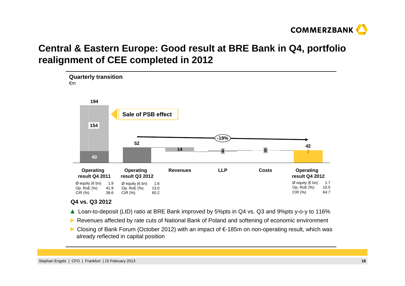

## **Central & Eastern Europe: Good result at BRE Bank in Q4, portfolio realignment of CEE completed in 2012**



#### **Q4 vs. Q3 2012**

- ▲ Loan-to-deposit (LtD) ratio at BRE Bank improved by 5%pts in Q4 vs. Q3 and 9%pts y-o-y to 116%<br>■ P
- ► Revenues affected by rate cuts of National Bank of Poland and softening of economic environment
- ► Closing of Bank Forum (October 2012) with an impact of €-185m on non-operating result, which was<br>already reflected in capital position already reflected in capital position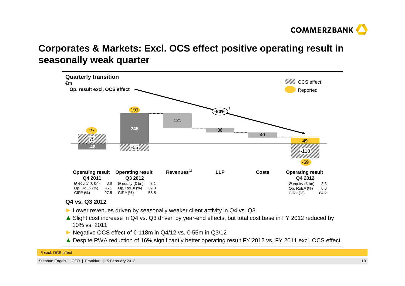

## **Corporates & Markets: Excl. OCS effect positive operating result in seasonally weak quarter**



#### **Q4 vs. Q3 2012**

- ► Lower revenues driven by seasonally weaker client activity in Q4 vs. Q3<br>A Slight cost increase in Q4 vs. Q3 driven by vear-ond effects, but total co
- ▲ Slight cost increase in Q4 vs. Q3 driven by year-end effects, but total cost base in FY 2012 reduced by<br>10% vs. 2011 10% vs. 2011
- ► Negative OCS effect of €-118m in Q4/12 vs. €-55m in Q3/12<br>A Despite BWA reduction of 16% cignificantly better eperating r
- ▲ Despite RWA reduction of 16% significantly better operating result FY 2012 vs. FY 2011 excl. OCS effect

#### <sup>1)</sup> excl. OCS effect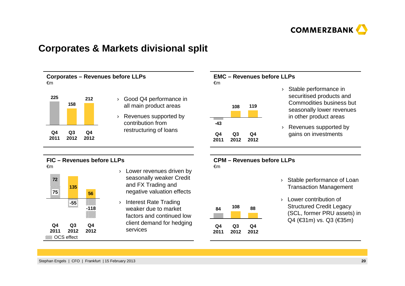

### **Corporates & Markets divisional split**

**Corporates – Revenues before LLPs**€m



- › Good Q4 performance in all main product areas
- › Revenues supported by contribution from restructuring of loans

#### **EMC – Revenues before LLPs**€m

|            | 108        | 119        |
|------------|------------|------------|
| -43        |            |            |
| Q4<br>2011 | Q3<br>2012 | Q4<br>2012 |

- › Stable performance in securitised products and Commodities business but seasonally lower revenues in other product areas
- › Revenues supported by gains on investments

### **FIC – Revenues before LLPs**



- › Lower revenues driven by seasonally weaker Credit and FX Trading and negative valuation effects
- › Interest Rate Trading weaker due to market factors and continued low client demand for hedging services

#### **CPM – Revenues before LLPs**€m

| 84   | 108  | 88   |
|------|------|------|
| Q4   | Q3   | Q4   |
| 2011 | 2012 | 2012 |

- › Stable performance of Loan Transaction Management
- › Lower contribution of Structured Credit Legacy (SCL, former PRU assets) in Q4 (€31m) vs. Q3 (€35m)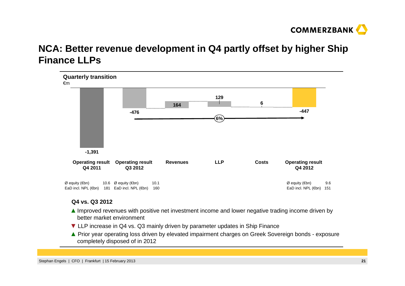

## **NCA: Better revenue development in Q4 partly offset by higher Ship Finance LLPs**



#### **Q4 vs. Q3 2012**

- ▲ Improved revenues with positive net investment income and lower negative trading income driven by<br>hetter market environment better market environment
- ▼ LLP increase in Q4 vs. Q3 mainly driven by parameter updates in Ship Finance
- ▲ Prior year operating loss driven by elevated impairment charges on Greek Sovereign bonds exposure<br>completely disposed of in 2012 completely disposed of in 2012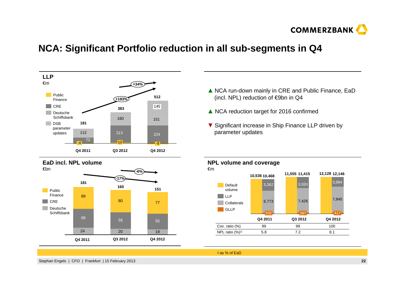

### **NCA: Significant Portfolio reduction in all sub-segments in Q4**



- **▲** NCA run-down mainly in CRE and Public Finance, EaD<br>(incl. NPL) reduction of €9bp in O4 (incl. NPL) reduction of €9bn in Q4
- **▲** NCA reduction target for 2016 confirmed
- ▼ Significant increase in Ship Finance LLP driven by<br>narameter undates parameter updates



1) as % of EaD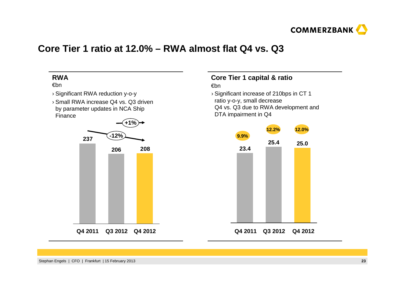

### **Core Tier 1 ratio at 12.0% – RWA almost flat Q4 vs. Q3**



### **Core Tier 1 capital & ratio**

#### €bn

 › Significant increase of 210bps in CT 1 ratio y-o-y, small decrease Q4 vs. Q3 due to RWA development and DTA impairment in Q4

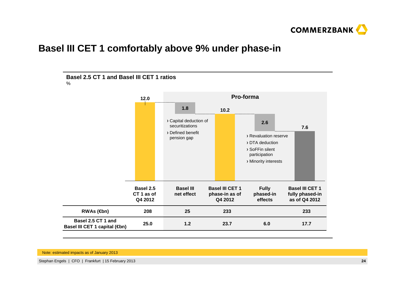

### **Basel III CET 1 comfortably above 9% under phase-in**



Note: estimated impacts as of January 2013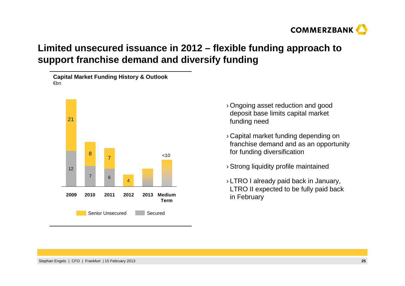

## **Limited unsecured issuance in 2012 – flexible funding approach to support franchise demand and diversify funding**

**Capital Market Funding History & Outlook**€bn



- › Ongoing asset reduction and good deposit base limits capital market funding need
- › Capital market funding depending on franchise demand and as an opportunity for funding diversification
- › Strong liquidity profile maintained
- › LTRO I already paid back in January, LTRO II expected to be fully paid back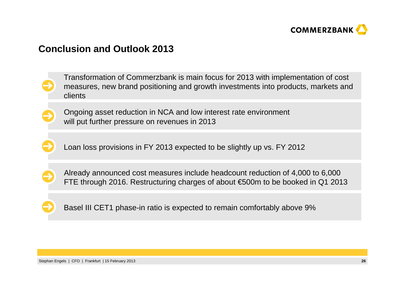

## **Conclusion and Outlook 2013**

Transformation of Commerzbank is main focus for 2013 with implementation of cost measures, new brand positioning and growth investments into products, markets and clients



Ongoing asset reduction in NCA and low interest rate environmentwill put further pressure on revenues in 2013

Loan loss provisions in FY 2013 expected to be slightly up vs. FY 2012



Already announced cost measures include headcount reduction of 4,000 to 6,000 FTE through 2016. Restructuring charges of about €500m to be booked in Q1 2013



Basel III CET1 phase-in ratio is expected to remain comfortably above 9%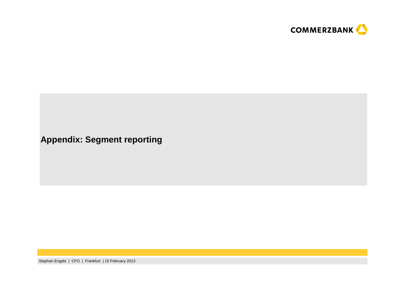

**Appendix: Segment reporting**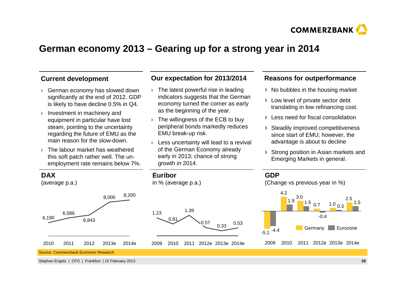

## **German economy 2013 – Gearing up for a strong year in 2014**

#### **Current development**

- › German economy has slowed down significantly at the end of 2012. GDP is likely to have decline 0.5% in Q4.
- › Investment in machinery and equipment in particular have lost steam, pointing to the uncertainty regarding the future of EMU as the main reason for the slow-down.
- › The labour market has weathered this soft patch rather well. The unemployment rate remains below 7%.

#### **Our expectation for 2013/2014**

- › The latest powerful rise in leading indicators suggests that the German economy turned the corner as early as the beginning of the year.
- › The willingness of the ECB to buy peripheral bonds markedly reduces EMU break-up risk.
- › Less uncertainty will lead to a revival of the German Economy already early in 2013; chance of strong growth in 2014.

2009 2010 2011 2012e 2013e 2014e

#### **Reasons for outperformance**

- $\rightarrow$  No bubbles in the housing market
- > Low level of private sector debt translating in low refinancing cost.
- Less need for fiscal consolidation
- > Steadily improved competitiveness since start of EMU; however, the advantage is about to decline
- Strong position in Asian markets and Emerging Markets in general.



0.81



200920102011 2012e 2013e 2014e

Source: Commerzbank Economic Research

6,190

Stephan Engels | CFO | Frankfurt | 15 February 2013

6,843

2010 2011 2012 2013e 2014e

2.5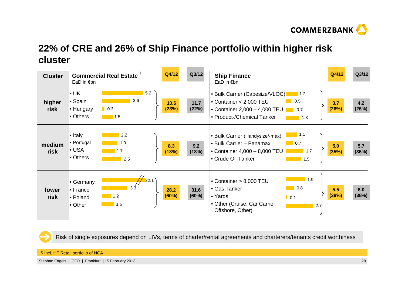

## **22% of CRE and 26% of Ship Finance portfolio within higher risk cluster**

| <b>Cluster</b> | <b>Commercial Real Estate</b> <sup>1)</sup><br>EaD in $\notin$ bn                                          | Q4/12         | Q3/12           | <b>Ship Finance</b><br>EaD in €bn                                                                                                                                                           | Q4/12        | Q3/12        |
|----------------|------------------------------------------------------------------------------------------------------------|---------------|-----------------|---------------------------------------------------------------------------------------------------------------------------------------------------------------------------------------------|--------------|--------------|
| higher<br>risk | 5.2<br>$\bullet$ UK<br>3.6<br>• Spain<br>• Hungary<br>$\blacksquare$ 0.3<br>• Others<br>$\blacksquare$ 1.5 | 10.6<br>(23%) | $11.7$<br>(22%) | • Bulk Carrier (Capesize/VLOC)   1.2<br>0.5<br>• Container < 2,000 TEU<br>• Container $2,000 - 4,000$ TEU<br>0.7<br>• Product-/Chemical Tanker<br>1.3                                       | 3.7<br>(26%) | 4.2<br>(26%) |
| medium<br>risk | • Italy<br>2.2<br>• Portugal<br>1.9<br>$\bullet$ USA<br>1.7<br>• Others<br>2.5                             | 8.3<br>(18%)  | 9.2<br>(18%)    | $\blacksquare$ 1.1<br>• Bulk Carrier (Handysize/-max)<br>$\blacksquare$ 0.7<br>• Bulk Carrier - Panamax<br>• Container 4,000 - 8,000 TEU<br>$\blacksquare$ 1.7<br>• Crude Oil Tanker<br>1.5 | 5.0<br>(35%) | 5.7<br>(36%) |
| lower<br>risk  | 22.1<br>• Germany<br>3.3<br>• France<br>1.2<br>• Poland<br>1.6<br>• Other                                  | 28.2<br>(60%) | 31.6<br>(60%)   | 1.9<br>• Container > 8,000 TEU<br>0.8<br>• Gas Tanker<br>• Yards<br>$\vert \vert$ 0.1<br>• Other (Cruise, Car Carrier,<br>2.7<br>Offshore, Other)                                           | 5.5<br>(39%) | 6.0<br>(38%) |

Risk of single exposures depend on LtVs, terms of charter/rental agreements and charterers/tenants credit worthiness

 $^{\text{\tiny{1)}}}$  incl. HF Retail portfolio of NCA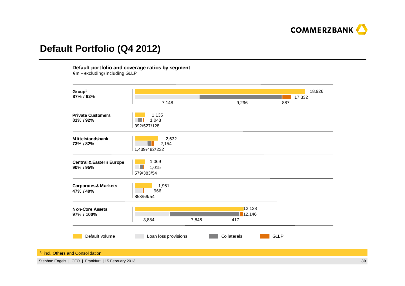

### **Default Portfolio (Q4 2012)**

#### **Default portfolio and coverage ratios by segment**

 $\epsilon$ m – excluding/including GLLP



<sup>1)</sup> incl. Others and Consolidation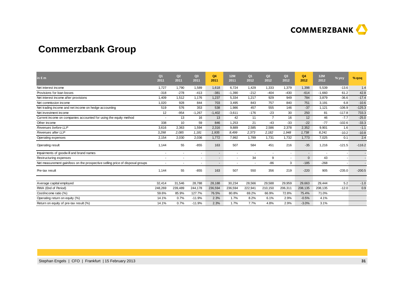

## **Commerzbank Group**

| in $\epsilon$ m                                                               | Q <sub>1</sub><br>2011 | Q2<br>2011               | Q3<br>2011 | Q4<br>2011     | <b>12M</b><br>2011 | Q <sub>1</sub><br>2012   | Q2<br>2012     | Q <sub>3</sub><br>2012   | Q4<br>2012               | <b>12M</b><br>2012 | % yoy    | $%$ qoq  |
|-------------------------------------------------------------------------------|------------------------|--------------------------|------------|----------------|--------------------|--------------------------|----------------|--------------------------|--------------------------|--------------------|----------|----------|
| Net interest income                                                           | 1,727                  | 1,790                    | 1,589      | 1,618          | 6,724              | 1,429                    | 1,333          | 1,379                    | 1,398                    | 5,539              | $-13.6$  | 1.4      |
| Provisions for loan losses                                                    | $-318$                 | $-278$                   | $-413$     | $-381$         | $-1,390$           | $-212$                   | $-404$         | $-430$                   | $-614$                   | $-1,660$           | 61.2     | 42.8     |
| Net interest income after provisions                                          | 1,409                  | 1,512                    | 1.176      | 1,237          | 5,334              | 1.217                    | 929            | 949                      | 784                      | 3,879              | $-36.6$  | $-17.4$  |
| Net commission income                                                         | 1,020                  | 928                      | 844        | 703            | 3,495              | 843                      | 757            | 840                      | 751                      | 3,191              | 6.8      | $-10.6$  |
| Net trading income and net income on hedge accounting                         | 519                    | 576                      | 353        | 538            | 1,986              | 457                      | 555            | 146                      | $-37$                    | 1,121              | $-106.9$ | $-125.3$ |
| Net investment income                                                         | 12                     | $-954$                   | $-1.267$   | $-1,402$       | $-3,611$           | $-176$                   | $-23$          | 30                       | 250                      | 81                 | $-117.8$ | 733.3    |
| Current income on companies accounted for using the equity method             |                        | 13                       | 16         | 13             | 42                 | 11                       | $\overline{7}$ | 16                       | 12                       | 46                 | $-7.7$   | $-25.0$  |
| Other income                                                                  | 338                    | 10                       | 59         | 846            | 1,253              | 21                       | $-43$          | $-33$                    | $-22$                    | $-77$              | $-102.6$ | $-33.3$  |
| Revenues before LLP                                                           | 3,616                  | 2,363                    | 1,594      | 2,316          | 9,889              | 2,585                    | 2,586          | 2,378                    | 2,352                    | 9,901              | 1.6      | $-1.1$   |
| Revenues after LLP                                                            | 3,298                  | 2,085                    | 1,181      | 1,935          | 8,499              | 2,373                    | 2,182          | 1,948                    | 1,738                    | 8,241              | $-10.2$  | $-10.8$  |
| Operating expenses                                                            | 2,154                  | 2,030                    | 2,036      | 1,772          | 7,992              | 1.789                    | 1,731          | 1.732                    | 1.773                    | 7,025              | 0.1      | 2.4      |
| Operating result                                                              | 1,144                  | 55                       | $-855$     | 163            | 507                | 584                      | 451            | 216                      | $-35$                    | 1,216              | $-121.5$ | $-116.2$ |
| Impairments of goodwill and brand names                                       | $\overline{a}$         | $\overline{\phantom{a}}$ | $\sim$     | $\blacksquare$ | $\overline{a}$     | $\sim$                   | $\blacksquare$ | $\overline{\phantom{a}}$ | $\overline{\phantom{a}}$ |                    |          |          |
| Restructuring expenses                                                        |                        |                          |            | $\blacksquare$ | $\blacksquare$     | 34                       | 9              |                          | $\mathbf{0}$             | 43                 |          |          |
| Net measurement gain/loss on the prospective selling price of disposal groups |                        |                          | $\sim$     | $\blacksquare$ | $\blacksquare$     | $\overline{\phantom{a}}$ | $-86$          | 3                        | $-185$                   | $-268$             |          |          |
| Pre-tax result                                                                | 1,144                  | 55                       | $-855$     | 163            | 507                | 550                      | 356            | 219                      | $-220$                   | 905                | $-235.0$ | $-200.5$ |
|                                                                               |                        |                          |            |                |                    |                          |                |                          |                          |                    |          |          |
| Average capital employed                                                      | 32,414                 | 31,546                   | 28,788     | 28,188         | 30,234             | 28,566                   | 29,588         | 29,959                   | 29,663                   | 29,444             | 5.2      | $-1.0$   |
| RWA (End of Period)                                                           | 248,269                | 239,489                  | 244,178    | 236,594        | 236,594            | 222,941                  | 210,150        | 206,311                  | 208,135                  | 208,135            | $-12.0$  | 0.9      |
| Cost/income ratio (%)                                                         | 59.6%                  | 85.9%                    | 127.7%     | 76.5%          | 80.8%              | 69.2%                    | 66.9%          | 72.8%                    | 75.4%                    | 71.0%              |          |          |
| Operating return on equity (%)                                                | 14.1%                  | 0.7%                     | $-11.9%$   | 2.3%           | 1.7%               | 8.2%                     | 6.1%           | 2.9%                     | $-0.5%$                  | 4.1%               |          |          |
| Return on equity of pre-tax result (%)                                        | 14.1%                  | 0.7%                     | $-11.9%$   | 2.3%           | 1.7%               | 7.7%                     | 4.8%           | 2.9%                     | $-3.0%$                  | 3.1%               |          |          |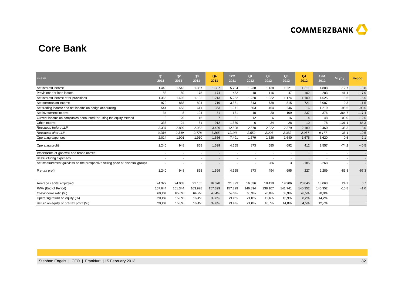

### **Core Bank**

| in $\epsilon$ m                                                               | Q <sub>1</sub><br>2011   | Q2<br>2011               | Q3<br>2011 | Q <sub>4</sub><br>2011   | <b>12M</b><br>2011       | Q <sub>1</sub><br>2012   | Q2<br>2012 | Q <sub>3</sub><br>2012 | Q4<br>2012 | 12M<br>2012 | % yoy    | $%$ qoq |
|-------------------------------------------------------------------------------|--------------------------|--------------------------|------------|--------------------------|--------------------------|--------------------------|------------|------------------------|------------|-------------|----------|---------|
| Net interest income                                                           | 1.448                    | 1.542                    | 1.357      | 1.387                    | 5.734                    | 1.238                    | 1.138      | 1.221                  | 1.211      | 4.808       | $-12,7$  | $-0,8$  |
| Provisions for loan losses                                                    | $-83$                    | $-50$                    | $-175$     | $-174$                   | $-482$                   | $-18$                    | $-116$     | $-47$                  | $-102$     | $-283$      | $-41,4$  | 117,0   |
| Net interest income after provisions                                          | 1.365                    | 1.492                    | 1.182      | 1.213                    | 5.252                    | 1.220                    | 1.022      | 1.174                  | 1.109      | 4.525       | $-8,6$   | $-5,5$  |
| Net commission income                                                         | 970                      | 868                      | 804        | 719                      | 3.361                    | 813                      | 738        | 815                    | 721        | 3.087       | 0,3      | $-11,5$ |
| Net trading income and net income on hedge accounting                         | 544                      | 453                      | 611        | 363                      | 1.971                    | 503                      | 454        | 246                    | 16         | 1.219       | $-95,6$  | $-93,5$ |
| Net investment income                                                         | 34                       | -8                       | 104        | 51                       | 181                      | 10                       | 20         | 109                    | 237        | 376         | 364,7    | 117,4   |
| Current income on companies accounted for using the equity method             | 8                        | 20                       | 16         | $\overline{7}$           | 51                       | 12                       | 6          | 16                     | 14         | 48          | 100,0    | $-12,5$ |
| Other income                                                                  | 333                      | 24                       | 61         | 912                      | 1.330                    | -6                       | $-34$      | $-28$                  | $-10$      | $-78$       | $-101,1$ | $-64,3$ |
| Revenues before LLP                                                           | 3.337                    | 2.899                    | 2.953      | 3.439                    | 12.628                   | 2.570                    | 2.322      | 2.379                  | 2.189      | 9.460       | $-36,3$  | $-8,0$  |
| Revenues after LLP                                                            | 3.254                    | 2.849                    | 2.778      | 3.265                    | 12.146                   | 2.552                    | 2.206      | 2.332                  | 2.087      | 9.177       | $-36,1$  | $-10,5$ |
| Operating expenses                                                            | 2.014                    | 1.901                    | 1.910      | 1.666                    | 7.491                    | 1.679                    | 1.626      | 1.640                  | 1.675      | 6.620       | 0,5      | 2,1     |
| Operating profit                                                              | 1.240                    | 948                      | 868        | 1.599                    | 4.655                    | 873                      | 580        | 692                    | 412        | 2.557       | $-74,2$  | $-40,5$ |
| Impairments of goodwill and brand names                                       |                          | $\overline{a}$           | $\sim$     | $\blacksquare$           | $\overline{\phantom{a}}$ | $\overline{\phantom{a}}$ |            |                        | ٠          | $\sim$      |          |         |
| Restructuring expenses                                                        | $\overline{\phantom{a}}$ | $\overline{\phantom{a}}$ | $\sim$     | $\overline{\phantom{a}}$ | $\sim$                   | $\sim$                   | <b>.</b>   |                        | ۰          | ۰           |          |         |
| Net measurement gain/loss on the prospective selling price of disposal groups |                          |                          |            | $\overline{\phantom{a}}$ |                          |                          | $-86$      | 3                      | $-185$     | $-268$      |          |         |
| Pre-tax profit                                                                | 1.240                    | 948                      | 868        | 1.599                    | 4.655                    | 873                      | 494        | 695                    | 227        | 2.289       | $-85,8$  | $-67,3$ |
|                                                                               | 24.327                   | 24.003                   | 21.165     | 16.078                   | 21.393                   | 16.636                   | 18.419     | 19.906                 |            | 18.063      |          |         |
| Average capital employed                                                      |                          |                          |            |                          |                          |                          |            |                        | 20.046     |             | 24,7     | 0,7     |
| RWA (End of Period)                                                           | 167.644                  | 161.344                  | 163.928    | 157.329                  | 157.329                  | 146.894                  | 138.107    | 141.741                | 140.352    | 140.352     | $-10,8$  | $-1,0$  |
| Cost/income ratio (%)                                                         | 60,4%                    | 65,6%                    | 64,7%      | 48,4%                    | 59,3%                    | 65,3%                    | 70,0%      | 68,9%                  | 76,5%      | 70,0%       |          |         |
| Operating return on equity (%)                                                | 20,4%                    | 15,8%                    | 16,4%      | 39,8%                    | 21,8%                    | 21,0%                    | 12,6%      | 13,9%                  | 8,2%       | 14,2%       |          |         |
| Return on equity of pre-tax profit (%)                                        | 20,4%                    | 15,8%                    | 16,4%      | 39,8%                    | 21,8%                    | 21,0%                    | 10,7%      | 14,0%                  | 4,5%       | 12,7%       |          |         |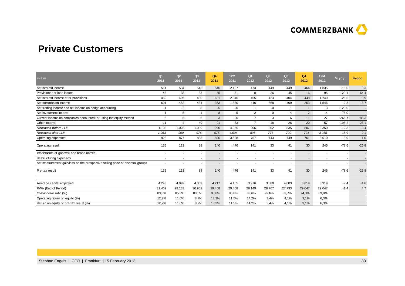

### **Private Customers**

| in $\epsilon$ m                                                               | Q <sub>1</sub><br>2011 | Q2<br>2011 | Q <sub>3</sub><br>2011 | Q <sub>4</sub><br>2011   | 12M<br>2011 | Q <sub>1</sub><br>2012 | Q2<br>2012 | Q3<br>2012 | Q4<br>2012  | <b>12M</b><br>2012       | % yoy    | % qoq   |
|-------------------------------------------------------------------------------|------------------------|------------|------------------------|--------------------------|-------------|------------------------|------------|------------|-------------|--------------------------|----------|---------|
| Net interest income                                                           | 514                    | 534        | 513                    | 546                      | 2.107       | 473                    | 449        | 449        | 464         | 1.835                    | $-15,0$  | 3,3     |
| Provisions for loan losses                                                    | $-45$                  | $-38$      | $-33$                  | 55                       | $-61$       | -8                     | $-26$      | $-45$      | $-16$       | $-95$                    | $-129,1$ | $-64,4$ |
| Net interest income after provisions                                          | 469                    | 496        | 480                    | 601                      | 2.046       | 465                    | 423        | 404        | 448         | 1.740                    | $-25,5$  | 10,9    |
| Net commission income                                                         | 601                    | 482        | 434                    | 363                      | 1.880       | 416                    | 368        | 409        | 353         | 1.546                    | $-2,8$   | $-13,7$ |
| Net trading income and net income on hedge accounting                         | -1                     | $-2$       | 8                      | $-5$                     | $-0$        |                        | -0         | -1         | $\mathbf 1$ | 3                        | $-120,0$ | $\sim$  |
| Net investment income                                                         | -1                     | 5          | $-1$                   | -8                       | $-5$        | $\overline{2}$         | 0          | -4         | $-2$        | $-4$                     | $-75,0$  | $\sim$  |
| Current income on companies accounted for using the equity method             | 6                      | 5          | 6                      | 3                        | 20          | $\overline{7}$         | 3          | 6          | 11          | 27                       | 266,7    | 83,3    |
| Other income                                                                  | $-11$                  | 4          | 49                     | 21                       | 63          | $\overline{7}$         | $-18$      | $-26$      | $-20$       | $-57$                    | $-195,2$ | $-23,1$ |
| Revenues before LLP                                                           | 1.108                  | 1.028      | 1.009                  | 920                      | 4.065       | 906                    | 802        | 835        | 807         | 3.350                    | $-12,3$  | $-3,4$  |
| Revenues after LLP                                                            | 1.063                  | 990        | 976                    | 975                      | 4.004       | 898                    | 776        | 790        | 791         | 3.255                    | $-18,9$  | 0,1     |
| Operating expenses                                                            | 928                    | 877        | 888                    | 835                      | 3.528       | 757                    | 743        | 749        | 761         | 3.010                    | $-8,9$   | 1,6     |
| Operating result                                                              | 135                    | 113        | 88                     | 140                      | 476         | 141                    | 33         | 41         | 30          | 245                      | $-78,6$  | $-26,8$ |
| Impairments of goodwill and brand names                                       |                        |            | $\blacksquare$         | $\blacksquare$           | ٠           | $\sim$                 |            |            | ٠           | $\overline{\phantom{a}}$ |          |         |
| Restructuring expenses                                                        |                        |            | ۰                      | $\overline{\phantom{a}}$ | ٠           | ٠                      |            |            | ٠           |                          |          |         |
| Net measurement gain/loss on the prospective selling price of disposal groups |                        |            | ۰                      | $\overline{\phantom{a}}$ | ×.          | ٠                      |            |            | ٠           | ٠                        |          |         |
| Pre-tax result                                                                | 135                    | 113        | 88                     | 140                      | 476         | 141                    | 33         | 41         | 30          | 245                      | $-78,6$  | $-26,8$ |
|                                                                               |                        |            |                        |                          |             |                        |            |            |             |                          |          |         |
| Average capital employed                                                      | 4.243                  | 4.092      | 4.069                  | 4.217                    | 4.155       | 3.976                  | 3.880      | 4.003      | 3.819       | 3.919                    | $-9,4$   | $-4,6$  |
| RWA (End of Period)                                                           | 31.469                 | 29.133     | 30.952                 | 29.468                   | 29.468      | 28.149                 | 28.767     | 27.733     | 29.047      | 29.047                   | $-1,4$   | 4,7     |
| Cost/income ratio (%)                                                         | 83,8%                  | 85,3%      | 88,0%                  | 90,8%                    | 86,8%       | 83,6%                  | 92,6%      | 89,7%      | 94,3%       | 89,9%                    |          |         |
| Operating return on equity (%)                                                | 12,7%                  | 11,0%      | 8,7%                   | 13,3%                    | 11,5%       | 14,2%                  | 3,4%       | 4,1%       | 3,1%        | 6,3%                     |          |         |
| Return on equity of pre-tax result (%)                                        | 12,7%                  | 11,0%      | 8,7%                   | 13,3%                    | 11,5%       | 14,2%                  | 3,4%       | 4,1%       | 3,1%        | 6,3%                     |          |         |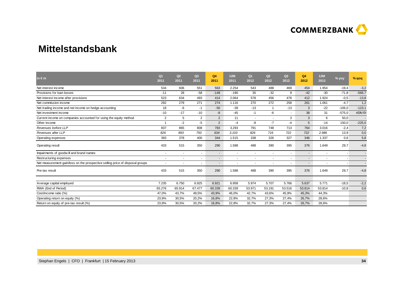

### **Mittelstandsbank**

| in $\epsilon$ m                                                               | Q <sub>1</sub><br>2011 | Q2<br>2011 | Q <sub>3</sub><br>2011 | Q <sub>4</sub><br>2011   | 12M<br>2011 | Q <sub>1</sub><br>2012   | Q2<br>2012 | Q <sub>3</sub><br>2012 | Q4<br>2012 | <b>12M</b><br>2012       | % yoy    | % qoq    |
|-------------------------------------------------------------------------------|------------------------|------------|------------------------|--------------------------|-------------|--------------------------|------------|------------------------|------------|--------------------------|----------|----------|
| Net interest income                                                           | 534                    | 606        | 551                    | 563                      | 2.254       | 543                      | 488        | 469                    | 454        | 1.954                    | $-19,4$  | $-3,2$   |
| Provisions for loan losses                                                    | $-11$                  | 28         | $-58$                  | $-149$                   | $-190$      | 35                       | $-32$      | 9                      | $-42$      | $-30$                    | $-71,8$  | $-566,7$ |
| Net interest income after provisions                                          | 523                    | 634        | 493                    | 414                      | 2.064       | 578                      | 456        | 478                    | 412        | 1.924                    | $-0,5$   | $-13,8$  |
| Net commission income                                                         | 292                    | 279        | 271                    | 274                      | 1.116       | 270                      | 272        | 258                    | 261        | 1.061                    | $-4,7$   | 1,2      |
| Net trading income and net income on hedge accounting                         | 18                     | -6         | $-1$                   | $-50$                    | $-39$       | $-13$                    | -1         | $-13$                  | 3          | $-22$                    | $-106,0$ | $-123,1$ |
| Net investment income                                                         | $-10$                  | $-17$      | $-10$                  | -8                       | $-45$       | $-1$                     | -6         | $\sim$                 | 38         | 31                       | $-575,0$ | #DIV/0!  |
| Current income on companies accounted for using the equity method             | 2                      | 5          | 2                      | $\overline{2}$           | 11          | ٠                        |            | 3                      | 3          | 6                        | 50,0     |          |
| Other income                                                                  | 4                      | $-2$       | $-5$                   | 2                        | $-4$        | -8                       | $-7$       | $-4$                   | 5          | $-14$                    | 150,0    | $-225,0$ |
| Revenues before LLP                                                           | 837                    | 865        | 808                    | 783                      | 3.293       | 791                      | 748        | 713                    | 764        | 3.016                    | $-2,4$   | 7,2      |
| Revenues after LLP                                                            | 826                    | 893        | 750                    | 634                      | 3.103       | 826                      | 716        | 722                    | 722        | 2.986                    | 13,9     | 0,0      |
| Operating expenses                                                            | 393                    | 378        | 400                    | 344                      | 1.515       | 338                      | 326        | 327                    | 346        | 1.337                    | 0,6      | 5,8      |
| Operating result                                                              | 433                    | 515        | 350                    | 290                      | 1.588       | 488                      | 390        | 395                    | 376        | 1.649                    | 29,7     | $-4,8$   |
| Impairments of goodwill and brand names                                       |                        |            | $\blacksquare$         | $\blacksquare$           | ٠           | ÷.                       |            |                        |            | $\blacksquare$           |          |          |
| Restructuring expenses                                                        |                        |            | ۰                      | $\overline{\phantom{a}}$ | ٠           | $\overline{\phantom{a}}$ |            |                        |            |                          |          |          |
| Net measurement gain/loss on the prospective selling price of disposal groups |                        |            | ۰                      | $\overline{\phantom{a}}$ | ÷           |                          |            |                        |            | $\overline{\phantom{a}}$ |          |          |
| Pre-tax result                                                                | 433                    | 515        | 350                    | 290                      | 1.588       | 488                      | 390        | 395                    | 376        | 1.649                    | 29,7     | $-4,8$   |
|                                                                               |                        |            |                        |                          |             |                          |            |                        |            |                          |          |          |
| Average capital employed                                                      | 7.235                  | 6.750      | 6.925                  | 6.921                    | 6.958       | 5.974                    | 5.707      | 5.766                  | 5.637      | 5.771                    | $-18,5$  | $-2,2$   |
| RWA (End of Period)                                                           | 65.276                 | 65.914     | 67.477                 | 60.339                   | 60.339      | 53.971                   | 53.191     | 53.516                 | 53.814     | 53.814                   | $-10,8$  | 0,6      |
| Cost/income ratio (%)                                                         | 47,0%                  | 43,7%      | 49,5%                  | 43,9%                    | 46,0%       | 42,7%                    | 43,6%      | 45,9%                  | 45,3%      | 44,3%                    |          |          |
| Operating return on equity (%)                                                | 23,9%                  | 30,5%      | 20,2%                  | 16,8%                    | 22,8%       | 32,7%                    | 27,3%      | 27,4%                  | 26,7%      | 28,6%                    |          |          |
| Return on equity of pre-tax result (%)                                        | 23,9%                  | 30,5%      | 20,2%                  | 16,8%                    | 22,8%       | 32,7%                    | 27,3%      | 27,4%                  | 26,7%      | 28,6%                    |          |          |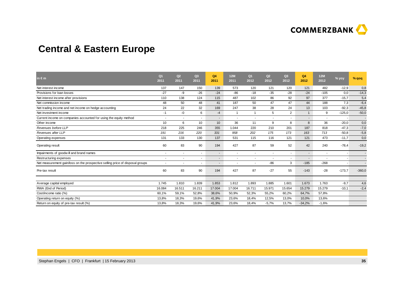

## **Central & Eastern Europe**

| in $\epsilon$ m                                                               | Q <sub>1</sub><br>2011   | Q2<br>2011               | Q3<br>2011 | Q <sub>4</sub><br>2011   | 12M<br>2011              | Q <sub>1</sub><br>2012   | Q2<br>2012               | Q3<br>2012 | Q4<br>2012               | 12M<br>2012              | % yoy    | $%$ qoq  |
|-------------------------------------------------------------------------------|--------------------------|--------------------------|------------|--------------------------|--------------------------|--------------------------|--------------------------|------------|--------------------------|--------------------------|----------|----------|
| Net interest income                                                           | 137                      | 147                      | 150        | 139                      | 573                      | 120                      | 121                      | 120        | 121                      | 482                      | $-12,9$  | 0,8      |
| Provisions for loan losses                                                    | $-27$                    | -9                       | $-26$      | $-24$                    | $-86$                    | $-18$                    | $-35$                    | $-28$      | $-24$                    | $-105$                   | 0,0      | $-14,3$  |
| Net interest income after provisions                                          | 110                      | 138                      | 124        | 115                      | 487                      | 102                      | 86                       | 92         | 97                       | 377                      | $-15,7$  | 5,4      |
| Net commission income                                                         | 48                       | 50                       | 48         | 41                       | 187                      | 50                       | 47                       | 47         | 44                       | 188                      | 7,3      | $-6,4$   |
| Net trading income and net income on hedge accounting                         | 24                       | 22                       | 32         | 169                      | 247                      | 38                       | 28                       | 24         | 13                       | 103                      | $-92,3$  | $-45,8$  |
| Net investment income                                                         | -1                       | $-0$                     | 6          | $-4$                     |                          | $\overline{1}$           | 5                        | 2          | $\overline{1}$           | 9                        | $-125,0$ | $-50,0$  |
| Current income on companies accounted for using the equity method             |                          | $\overline{\phantom{a}}$ | ٠          | $\overline{\phantom{a}}$ | ٠                        | $\overline{\phantom{a}}$ | $\overline{\phantom{a}}$ |            | ۰                        | ٠                        |          |          |
| Other income                                                                  | 10                       | 6                        | 10         | 10 <sup>10</sup>         | 36                       | 11                       | 9                        | 8          | 8                        | 36                       | $-20,0$  | 0,0      |
| Revenues before LLP                                                           | 218                      | 225                      | 246        | 355                      | 1.044                    | 220                      | 210                      | 201        | 187                      | 818                      | $-47,3$  | $-7,0$   |
| Revenues after LLP                                                            | 191                      | 216                      | 220        | 331                      | 958                      | 202                      | 175                      | 173        | 163                      | 713                      | $-50,8$  | $-5,8$   |
| Operating expenses                                                            | 131                      | 133                      | 130        | 137                      | 531                      | 115                      | 116                      | 121        | 121                      | 473                      | $-11,7$  | 0,0      |
| Operating result                                                              | 60                       | 83                       | 90         | 194                      | 427                      | 87                       | 59                       | 52         | 42                       | 240                      | $-78,4$  | $-19,2$  |
| Impairments of goodwill and brand names                                       |                          |                          | ٠          | $\overline{\phantom{a}}$ | $\overline{\phantom{a}}$ | $\blacksquare$           |                          |            | ٠                        | $\sim$                   |          |          |
| Restructuring expenses                                                        | $\overline{\phantom{a}}$ | $\overline{\phantom{a}}$ | $\sim$     | $\overline{\phantom{a}}$ | $\overline{\phantom{a}}$ | $\overline{\phantom{a}}$ | $\overline{\phantom{a}}$ |            | $\overline{\phantom{a}}$ | $\overline{\phantom{a}}$ |          |          |
| Net measurement gain/loss on the prospective selling price of disposal groups |                          |                          | ٠          | $\blacksquare$           |                          |                          | $-86$                    | 3          | $-185$                   | $-268$                   |          |          |
| Pre-tax result                                                                | 60                       | 83                       | 90         | 194                      | 427                      | 87                       | $-27$                    | 55         | $-143$                   | $-28$                    | $-173,7$ | $-360,0$ |
| Average capital employed                                                      | 1.745                    | 1.810                    | 1.839      | 1.853                    | 1.812                    | 1.893                    | 1.885                    | 1.601      | 1.673                    | 1.763                    | $-9,7$   | 4,6      |
| RWA (End of Period)                                                           | 16.084                   | 16.511                   | 16.211     | 17.004                   | 17.004                   | 16.711                   | 15.971                   | 15.654     | 15.279                   | 15.279                   | $-10,1$  | $-2,4$   |
| Cost/income ratio (%)                                                         | 60,1%                    | 59,1%                    | 52,8%      | 38,6%                    | 50,9%                    | 52,3%                    | 55,2%                    | 60,2%      | 64,7%                    | 57,8%                    |          |          |
| Operating return on equity (%)                                                | 13,8%                    | 18,3%                    | 19,6%      | 41,9%                    | 23,6%                    | 18,4%                    | 12,5%                    | 13,0%      | 10,0%                    | 13,6%                    |          |          |
| Return on equity of pre-tax result (%)                                        | 13,8%                    | 18,3%                    | 19,6%      | 41,9%                    | 23,6%                    | 18,4%                    | $-5,7%$                  | 13,7%      | $-34,2%$                 | $-1,6%$                  |          |          |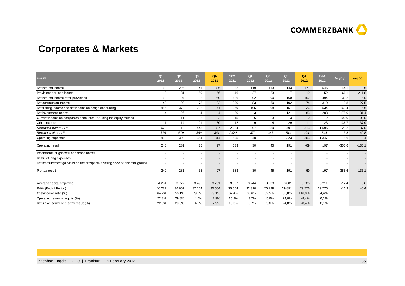

## **Corporates & Markets**

| in $\epsilon$ m                                                               | Q <sub>1</sub><br>2011   | Q2<br>2011               | Q <sub>3</sub><br>2011 | Q4<br>2011               | 12M<br>2011 | Q <sub>1</sub><br>2012   | Q2<br>2012               | Q <sub>3</sub><br>2012 | Q4<br>2012  | 12M<br>2012 | % yoy     | $%$ qoq  |
|-------------------------------------------------------------------------------|--------------------------|--------------------------|------------------------|--------------------------|-------------|--------------------------|--------------------------|------------------------|-------------|-------------|-----------|----------|
| Net interest income                                                           | 160                      | 225                      | 141                    | 306                      | 832         | 119                      | 113                      | 143                    | 171         | 546         | $-44,1$   | 19,6     |
| Provisions for loan losses                                                    | 0                        | $-31$                    | $-59$                  | $-56$                    | $-146$      | $-27$                    | $-23$                    | 17                     | $-19$       | $-52$       | $-66,1$   | $-211,8$ |
| Net interest income after provisions                                          | 160                      | 194                      | 82                     | 250                      | 686         | 92                       | 90                       | 160                    | 152         | 494         | $-39,2$   | $-5,0$   |
| Net commission income                                                         | 48                       | 92                       | 78                     | 82                       | 300         | 83                       | 60                       | 102                    | 74          | 319         | $-9,8$    | $-27,5$  |
| Net trading income and net income on hedge accounting                         | 456                      | 370                      | 202                    | 41                       | 1.069       | 195                      | 208                      | 157                    | $-26$       | 534         | $-163,4$  | $-116,6$ |
| Net investment income                                                         | 4                        | 26                       | 4                      | $-4$                     | 30          | 3                        |                          | 121                    | 83          | 208         | $-2175,0$ | $-31,4$  |
| Current income on companies accounted for using the equity method             |                          | 11                       | $\overline{2}$         | $\overline{2}$           | 15          | 6                        | 3                        | 3                      | $\mathbf 0$ | 12          | $-100,0$  | $-100,0$ |
| Other income                                                                  | 11                       | $-14$                    | 21                     | $-30$                    | $-12$       | $-9$                     | $\overline{4}$           | $-29$                  | 11          | $-23$       | $-136,7$  | $-137,9$ |
| Revenues before LLP                                                           | 679                      | 710                      | 448                    | 397                      | 2.234       | 397                      | 389                      | 497                    | 313         | 1.596       | $-21,2$   | $-37,0$  |
| Revenues after LLP                                                            | 679                      | 679                      | 389                    | 341                      | 2.088       | 370                      | 366                      | 514                    | 294         | 1.544       | $-13,8$   | $-42,8$  |
| Operating expenses                                                            | 439                      | 398                      | 354                    | 314                      | 1.505       | 340                      | 321                      | 323                    | 363         | 1.347       | 15,6      | 12,4     |
| Operating result                                                              | 240                      | 281                      | 35                     | 27                       | 583         | 30                       | 45                       | 191                    | $-69$       | 197         | $-355,6$  | $-136,1$ |
| Impairments of goodwill and brand names                                       |                          |                          | $\sim$                 | $\blacksquare$           | $\sim$      | ٠                        | $\blacksquare$           |                        |             |             |           |          |
| Restructuring expenses                                                        | $\overline{\phantom{a}}$ | $\overline{\phantom{a}}$ | $\sim$                 | $\overline{\phantom{a}}$ | $\sim$      | $\overline{\phantom{a}}$ | $\overline{\phantom{a}}$ |                        |             |             |           |          |
| Net measurement gain/loss on the prospective selling price of disposal groups |                          |                          |                        | $\blacksquare$           | ٠           |                          |                          |                        |             |             |           |          |
| Pre-tax result                                                                | 240                      | 281                      | 35                     | 27                       | 583         | 30                       | 45                       | 191                    | $-69$       | 197         | $-355,6$  | $-136,1$ |
|                                                                               |                          |                          |                        |                          |             |                          |                          |                        |             |             |           |          |
| Average capital employed                                                      | 4.204                    | 3.777                    | 3.495                  | 3.751                    | 3.807       | 3.244                    | 3.233                    | 3.081                  | 3.285       | 3.211       | $-12,4$   | 6,6      |
| RWA (End of Period)                                                           | 40.287                   | 36.661                   | 37.104                 | 35.564                   | 35.564      | 32.310                   | 26.129                   | 29.891                 | 29.776      | 29.776      | $-16,3$   | $-0,4$   |
| Cost/income ratio (%)                                                         | 64,7%                    | 56,1%                    | 79,0%                  | 79,1%                    | 67,4%       | 85,6%                    | 82,5%                    | 65,0%                  | 116,0%      | 84,4%       |           |          |
| Operating return on equity (%)                                                | 22,8%                    | 29,8%                    | 4,0%                   | 2,9%                     | 15,3%       | 3,7%                     | 5,6%                     | 24,8%                  | $-8,4%$     | 6,1%        |           |          |
| Return on equity of pre-tax result (%)                                        | 22,8%                    | 29,8%                    | 4,0%                   | 2,9%                     | 15,3%       | 3,7%                     | 5,6%                     | 24,8%                  | $-8,4%$     | 6,1%        |           |          |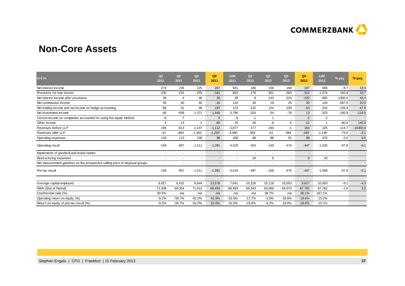

### **Non-Core Assets**

| in $\epsilon$ m                                                               | Q <sub>1</sub><br>2011 | Q2<br>2011     | Q3<br>2011     | Q4<br>2011               | 12M<br>2011    | Q <sub>1</sub><br>2012   | Q2<br>2012 | Q <sub>3</sub><br>2012 | Q4<br>2012               | 12M<br>2012    | % yoy     | $%$ qoq    |
|-------------------------------------------------------------------------------|------------------------|----------------|----------------|--------------------------|----------------|--------------------------|------------|------------------------|--------------------------|----------------|-----------|------------|
| Net interest income                                                           | 274                    | 235            | 225            | 207                      | 941            | 186                      | 158        | 158                    | 187                      | 689            | $-9.7$    | 18.4       |
| Provisions for loan losses                                                    | $-236$                 | $-231$         | $-255$         | $-181$                   | $-903$         | $-178$                   | $-301$     | $-383$                 | $-512$                   | $-1,374$       | 182.9     | 33.7       |
| Net interest income after provisions                                          | 38                     | $\overline{4}$ | $-30$          | 26                       | 38             | 8                        | $-143$     | $-225$                 | $-325$                   | $-685$         | $-1350.0$ | 44.4       |
| Net commission income                                                         | 50                     | 60             | 40             | $-16$                    | 134            | 30                       | 19         | 25                     | 30                       | 104            | $-287.5$  | 20.0       |
| Net trading income and net income on hedge accounting                         | -86                    | 51             | $-39$          | 197                      | 123            | $-215$                   | 124        | $-100$                 | $-53$                    | $-244$         | $-126.9$  | $-47.0$    |
| Net investment income                                                         | $-40$                  | $-939$         | $-1,371$       | $-1,446$                 | $-3,796$       | $-203$                   | $-54$      | $-79$                  | 13                       | $-323$         | $-100.9$  | $-116.5$   |
| Current income on companies accounted for using the equity method             | -8                     | $-7$           | $\blacksquare$ | 6                        | -9             | $-1$                     | -1         |                        | $-2$                     | $-2$           |           |            |
| Other income                                                                  | 5                      | $-13$          | $-2$           | $-60$                    | $-70$          | 26                       | -8         | -5                     | $-12$                    | $\overline{1}$ | $-80.0$   | 140.0      |
| Revenues before LLP                                                           | 195                    | $-613$         | $-1,147$       | $-1,112$                 | $-2,677$       | $-177$                   | 240        | -1                     | 163                      | 225            | $-114.7$  | $-16400.0$ |
| Revenues after LLP                                                            | $-41$                  | $-844$         | $-1,402$       | $-1,293$                 | $-3,580$       | $-355$                   | $-61$      | $-384$                 | $-349$                   | $-1,149$       | $-73.0$   | $-9.1$     |
| Operating expenses                                                            | 118                    | 113            | 109            | 98                       | 438            | 98                       | 88         | 92                     | 98                       | 376            | 0.0       | 6.5        |
| Operating result                                                              | $-159$                 | $-957$         | $-1,511$       | $-1,391$                 | $-4,018$       | $-453$                   | $-149$     | $-476$                 | $-447$                   | $-1,525$       | $-67.9$   | $-6.1$     |
| Impairments of goodwill and brand names                                       |                        |                | ٠              | $\blacksquare$           | ÷              | $\overline{\phantom{a}}$ |            |                        | $\overline{\phantom{a}}$ | ٠.             |           |            |
| Restructuring expenses                                                        |                        |                | ٠              | $\overline{\phantom{a}}$ | $\blacksquare$ | 34                       | 9          |                        | $\mathbf{0}$             | 43             |           |            |
| Net measurement gain/loss on the prospective selling price of disposal groups |                        |                | ٠              | $\blacksquare$           |                | $\blacksquare$           |            |                        | $\blacksquare$           | ٠              |           |            |
| Pre-tax result                                                                | $-159$                 | $-957$         | $-1,511$       | $-1,391$                 | $-4,018$       | $-487$                   | $-158$     | $-476$                 | $-447$                   | $-1,568$       | $-67.9$   | $-6.1$     |
| Average capital employed                                                      | 6,927                  | 6,415          | 6,644          | 10,578                   | 7,641          | 10,226                   | 10,118     | 10,053                 | 9,617                    | 10,003         | $-9.1$    | $-4.3$     |
| RWA (End of Period)                                                           | 71,308                 | 69,304         | 71,012         | 68,493                   | 68,493         | 66,543                   | 63,069     | 64,570                 | 67,782                   | 67,782         | $-1.0$    | 5.0        |
|                                                                               | 60.5%                  | n/a            | n/a            |                          | n/a            | n/a                      | 36.7%      | n/a                    | 60.1%                    | 167.1%         |           |            |
| Cost/income ratio (%)                                                         | $-9.2%$                | $-59.7%$       |                | n/a                      |                | $-17.7%$                 | $-5.9%$    |                        | $-18.6%$                 | $-15.2%$       |           |            |
| Operating return on equity (%)                                                |                        |                | $-91.0%$       | $-52.6%$                 | $-52.6%$       |                          |            | $-18.9%$               |                          |                |           |            |
| Return on equity of pre-tax result (%)                                        | $-9.2%$                | $-59.7%$       | $-91.0%$       | $-52.6%$                 | $-52.6%$       | $-19.0%$                 | $-6.2%$    | $-18.9%$               | $-18.6%$                 | $-15.7%$       |           |            |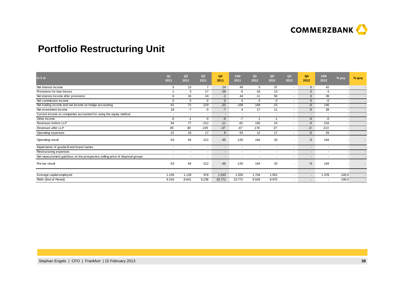

## **Portfolio Restructuring Unit**

| in $\epsilon$ m                                                               | Q <sub>1</sub><br>2011   | Q2<br>2011               | Q3<br>2011               | Q4<br>2011               | <b>12M</b><br>2011       | Q <sub>1</sub><br>2012   | Q2<br>2012               | Q <sub>3</sub><br>2012   | Q4<br>2012               | <b>12M</b><br>2012       | % yoy                    | $%$ qoq |
|-------------------------------------------------------------------------------|--------------------------|--------------------------|--------------------------|--------------------------|--------------------------|--------------------------|--------------------------|--------------------------|--------------------------|--------------------------|--------------------------|---------|
| Net interest income                                                           | 5                        | 13                       | $\overline{7}$           | 24                       | 49                       | 5                        | 37                       | $\sim$                   | $\mathbf 0$              | 42                       | $\overline{\phantom{a}}$ |         |
| Provisions for loan losses                                                    |                          | 3                        | 17                       | $-26$                    | $-5$                     | $-16$                    | 13                       | $\sim$                   | $\mathbf 0$              | $-3$                     |                          |         |
| Net interest income after provisions                                          | 6                        | 16                       | 24                       | $-2$                     | 44                       | $-11$                    | 50                       | $\sim$                   | $\mathbf{0}$             | 39                       |                          |         |
| Net commission income                                                         | 0                        | $\Omega$                 | -0                       | $\mathbf{0}$             | $\mathbf 0$              | $\mathbf 0$              | $-0$                     | $\sim$                   | $\mathbf{0}$             | $-0$                     |                          |         |
| Net trading income and net income on hedge accounting                         | 61                       | 72                       | $-219$                   | $-22$                    | $-108$                   | 169                      | $-23$                    | $\sim$                   | $-0$                     | 146                      |                          |         |
| Net investment income                                                         | 18                       | $-7$                     | -0                       | $-7$                     | $\overline{4}$           | 17                       | 11                       | $\overline{\phantom{a}}$ | $-0$                     | 28                       |                          |         |
| Current income on companies accounted for using the equity method             | $\sim$                   | $\overline{\phantom{a}}$ | $\overline{\phantom{a}}$ | $\overline{\phantom{a}}$ | $\overline{\phantom{a}}$ | $\overline{\phantom{a}}$ | $\overline{\phantom{a}}$ | $\overline{\phantom{a}}$ | $\blacksquare$           | $\overline{\phantom{a}}$ |                          |         |
| Other income                                                                  | -0                       | $-1$                     | -0                       | $-6$                     | $-7$                     |                          | $-1$                     | $\sim$                   | $-0$                     | -0                       | $\overline{\phantom{a}}$ |         |
| Revenues before LLP                                                           | 84                       | 77                       | $-212$                   | $-11$                    | $-62$                    | 192                      | 24                       | $\sim$                   | $-0$                     | 216                      |                          |         |
| Revenues after LLP                                                            | 85                       | 80                       | $-195$                   | $-37$                    | $-67$                    | 176                      | 37                       | ۰                        | $-0$                     | 213                      |                          |         |
| Operating expenses                                                            | 22                       | 16                       | 17                       | 8                        | 63                       | 12                       | 17                       | $\sim$                   | $-0$                     | 29                       |                          |         |
| Operating result                                                              | 63                       | 64                       | $-212$                   | $-45$                    | $-130$                   | 164                      | 20                       |                          | $-0$                     | 184                      |                          |         |
| Impairments of goodwill and brand names                                       | $\overline{\phantom{a}}$ | $\overline{\phantom{a}}$ | $\overline{\phantom{a}}$ | $\sim$                   | $\overline{\phantom{a}}$ | $\overline{\phantom{a}}$ | $\overline{\phantom{a}}$ | $\blacksquare$           | $\sim$                   | $\overline{\phantom{a}}$ |                          |         |
| Restructuring expenses                                                        | $\overline{\phantom{a}}$ | $\overline{\phantom{a}}$ | $\sim$                   | $\overline{\phantom{a}}$ |                          | ٠                        |                          | $\sim$                   | $\overline{\phantom{a}}$ |                          |                          |         |
| Net measurement gain/loss on the prospective selling price of disposal groups | $\overline{\phantom{a}}$ | $\overline{\phantom{a}}$ | $\overline{\phantom{a}}$ | $\overline{\phantom{a}}$ | $\overline{\phantom{a}}$ | $\overline{\phantom{a}}$ | $\overline{\phantom{a}}$ | $\overline{\phantom{a}}$ | $\overline{\phantom{a}}$ | $\overline{\phantom{a}}$ |                          |         |
| Pre-tax result                                                                | 63                       | 64                       | $-212$                   | $-45$                    | $-130$                   | 164                      | 20                       |                          | $-0$                     | 184                      |                          |         |
| Average capital employed                                                      | 1.159                    | 1.128                    | 978                      | 1.533                    | 1.200                    | 1.704                    | 1.052                    | $\sim$                   | $\overline{\phantom{a}}$ | 1.378                    | $-100,0$                 |         |
| RWA (End of Period)                                                           | 9.316                    | 8.841                    | 9.238                    | 10.772                   | 10.772                   | 9.504                    | 8.975                    | $\sim$                   | $\overline{\phantom{a}}$ | $\overline{\phantom{a}}$ | $-100,0$                 |         |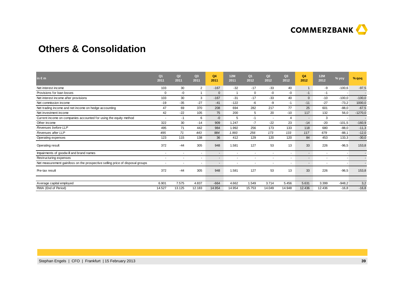

### **Others & Consolidation**

| in $\epsilon$ m                                                               | Q <sub>1</sub><br>2011 | Q2<br>2011               | Q3<br>2011 | Q <sub>4</sub><br>2011   | 12M<br>2011              | Q <sub>1</sub><br>2012   | Q2<br>2012               | Q <sub>3</sub><br>2012 | Q4<br>2012   | 12M<br>2012              | % yoy    | % qoq     |
|-------------------------------------------------------------------------------|------------------------|--------------------------|------------|--------------------------|--------------------------|--------------------------|--------------------------|------------------------|--------------|--------------------------|----------|-----------|
| Net interest income                                                           | 103                    | 30                       | 2          | $-167$                   | $-32$                    | $-17$                    | -33                      | 40                     | 1            | -9                       | $-100,6$ | $-97,5$   |
| Provisions for loan losses                                                    | $\mathbf 0$            | $-0$                     |            | $\mathbf{0}$             |                          | $\mathbf 0$              | -0                       | -0                     | $-1$         | $-1$                     |          |           |
| Net interest income after provisions                                          | 103                    | 30                       | 3          | $-167$                   | $-31$                    | $-17$                    | $-33$                    | 40                     | $\mathbf{0}$ | $-10$                    | $-100,0$ | $-100,0$  |
| Net commission income                                                         | $-19$                  | $-35$                    | $-27$      | $-41$                    | $-122$                   | -6                       | -9                       | -1                     | $-11$        | $-27$                    | $-73,2$  | 1000,0    |
| Net trading income and net income on hedge accounting                         | 47                     | 69                       | 370        | 208                      | 694                      | 282                      | 217                      | 77                     | 25           | 601                      | $-88,0$  | $-67,5$   |
| Net investment income                                                         | 42                     | $-22$                    | 105        | 75                       | 200                      | 5                        | 20                       | $-10$                  | 117          | 132                      | 56,0     | $-1270,0$ |
| Current income on companies accounted for using the equity method             |                        | $-1$                     | 6          | $-0$                     | 5                        | $-1$                     | $\overline{\phantom{a}}$ | 4                      | $\sim$       | 3                        |          |           |
| Other income                                                                  | 322                    | 30                       | $-14$      | 909                      | 1.247                    | $-7$                     | $-22$                    | 23                     | $-14$        | $-20$                    | $-101,5$ | $-160,9$  |
| Revenues before LLP                                                           | 495                    | 71                       | 442        | 984                      | 1.992                    | 256                      | 173                      | 133                    | 118          | 680                      | $-88,0$  | $-11,3$   |
| Revenues after LLP                                                            | 495                    | 71                       | 443        | 984                      | 1.993                    | 256                      | 173                      | 133                    | 117          | 679                      | $-88,1$  | $-12,0$   |
| Operating expenses                                                            | 123                    | 115                      | 138        | 36                       | 412                      | 129                      | 120                      | 120                    | 84           | 453                      | 133,3    | $-30,0$   |
| Operating result                                                              | 372                    | $-44$                    | 305        | 948                      | 1.581                    | 127                      | 53                       | 13                     | 33           | 226                      | $-96,5$  | 153,8     |
| Impairments of goodwill and brand names                                       |                        | $\overline{a}$           | ۰          | $\blacksquare$           | $\overline{\phantom{a}}$ | $\overline{\phantom{a}}$ |                          |                        | ۰.           | $\overline{\phantom{a}}$ |          |           |
| Restructuring expenses                                                        |                        | $\overline{\phantom{a}}$ | ٠          | $\overline{\phantom{a}}$ | $\overline{\phantom{a}}$ | $\overline{\phantom{a}}$ | $\overline{\phantom{a}}$ |                        | $\sim$       | ٠                        |          |           |
| Net measurement gain/loss on the prospective selling price of disposal groups |                        |                          | ۰          | $\blacksquare$           | $\overline{\phantom{a}}$ | $\overline{\phantom{a}}$ | $\overline{\phantom{a}}$ |                        | $\sim$       | $\overline{\phantom{a}}$ |          |           |
| Pre-tax result                                                                | 372                    | $-44$                    | 305        | 948                      | 1.581                    | 127                      | 53                       | 13                     | 33           | 226                      | $-96,5$  | 153,8     |
|                                                                               |                        |                          |            |                          |                          |                          |                          |                        |              |                          |          |           |
| Average capital employed                                                      | 6.901                  | 7.575                    | 4.837      | $-664$                   | 4.662                    | 1.549                    | 3.714                    | 5.456                  | 5.631        | 3.399                    | $-948,2$ | 3,2       |
| RWA (End of Period)                                                           | 14.527                 | 13.125                   | 12.183     | 14.954                   | 14.954                   | 15.753                   | 14.049                   | 14.948                 | 12.436       | 12.436                   | $-16,8$  | $-16,8$   |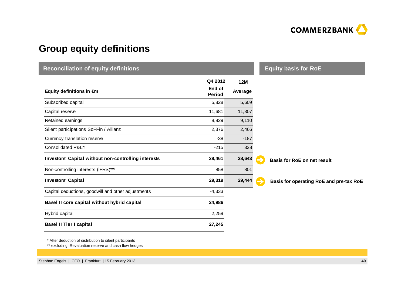

## **Group equity definitions**

| <b>Reconciliation of equity definitions</b>          | <b>Equity basis for RoE</b> |            |                                              |
|------------------------------------------------------|-----------------------------|------------|----------------------------------------------|
|                                                      | Q4 2012                     | <b>12M</b> |                                              |
| Equity definitions in €m                             | End of<br><b>Period</b>     | Average    |                                              |
| Subscribed capital                                   | 5,828                       | 5,609      |                                              |
| Capital reserve                                      | 11,681                      | 11,307     |                                              |
| Retained earnings                                    | 8,829                       | 9,110      |                                              |
| Silent participations SoFFin / Allianz               | 2,376                       | 2,466      |                                              |
| Currency translation reserve                         | $-38$                       | $-187$     |                                              |
| Consolidated P&L*)                                   | $-215$                      | 338        |                                              |
| Investors' Capital without non-controlling interests | 28,461                      | 28,643     | <b>Basis for RoE on net result</b>           |
| Non-controlling interests (IFRS)**)                  | 858                         | 801        |                                              |
| <b>Investors' Capital</b>                            | 29,319                      | 29,444     | Basis for operating RoE and pre-tax RoE<br>→ |
| Capital deductions, goodwill and other adjustments   | $-4,333$                    |            |                                              |
| Basel II core capital without hybrid capital         | 24,986                      |            |                                              |
| Hybrid capital                                       | 2,259                       |            |                                              |
| <b>Basel II Tier I capital</b>                       | 27,245                      |            |                                              |

\* After deduction of distribution to silent participants

\*\* excluding: Revaluation reserve and cash flow hedges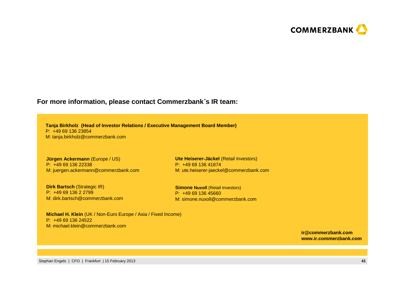

#### **For more information, please contact Commerzbank**´**<sup>s</sup> IR team:**

**Tanja Birkholz (Head of Investor Relations / Executive Management Board Member)**P: +49 69 136 23854M: tanja.birkholz@commerzbank.com

**Jürgen Ackermann** (Europe / US)P: +49 69 136 22338M: juergen.ackermann@commerzbank.com

**Dirk Bartsch (Strategic IR)** P: +49 69 136 2 2799 M: dirk.bartsch@commerzbank.com

**Ute Heiserer-Jäckel** (Retail Investors)P: +49 69 136 41874M: ute.heiserer-jaeckel@commerzbank.com

**Simone Nuxoll (Retail Investors)** P: +49 69 136 45660M: simone.nuxoll@commerzbank.com

**Michael H. Klein** (UK / Non-Euro Europe / Asia / Fixed Income)P: +49 69 136 24522M: michael.klein@commerzbank.com

> **ir@commerzbank.comwww.ir.commerzbank.com**